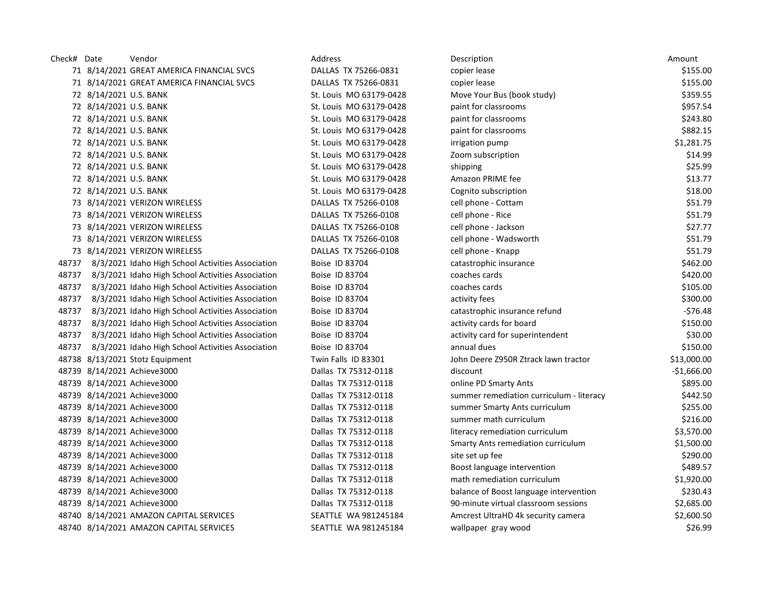| Check# Date |                        | Vendor                                            | Address                 | Description                              | Amount       |
|-------------|------------------------|---------------------------------------------------|-------------------------|------------------------------------------|--------------|
|             |                        | 71 8/14/2021 GREAT AMERICA FINANCIAL SVCS         | DALLAS TX 75266-0831    | copier lease                             | \$155.00     |
|             |                        | 71 8/14/2021 GREAT AMERICA FINANCIAL SVCS         | DALLAS TX 75266-0831    | copier lease                             | \$155.00     |
|             | 72 8/14/2021 U.S. BANK |                                                   | St. Louis MO 63179-0428 | Move Your Bus (book study)               | \$359.55     |
|             | 72 8/14/2021 U.S. BANK |                                                   | St. Louis MO 63179-0428 | paint for classrooms                     | \$957.54     |
|             | 72 8/14/2021 U.S. BANK |                                                   | St. Louis MO 63179-0428 | paint for classrooms                     | \$243.80     |
|             | 72 8/14/2021 U.S. BANK |                                                   | St. Louis MO 63179-0428 | paint for classrooms                     | \$882.15     |
|             | 72 8/14/2021 U.S. BANK |                                                   | St. Louis MO 63179-0428 | irrigation pump                          | \$1,281.75   |
|             | 72 8/14/2021 U.S. BANK |                                                   | St. Louis MO 63179-0428 | Zoom subscription                        | \$14.99      |
|             | 72 8/14/2021 U.S. BANK |                                                   | St. Louis MO 63179-0428 | shipping                                 | \$25.99      |
|             | 72 8/14/2021 U.S. BANK |                                                   | St. Louis MO 63179-0428 | Amazon PRIME fee                         | \$13.77      |
|             | 72 8/14/2021 U.S. BANK |                                                   | St. Louis MO 63179-0428 | Cognito subscription                     | \$18.00      |
|             |                        | 73 8/14/2021 VERIZON WIRELESS                     | DALLAS TX 75266-0108    | cell phone - Cottam                      | \$51.79      |
|             |                        | 73 8/14/2021 VERIZON WIRELESS                     | DALLAS TX 75266-0108    | cell phone - Rice                        | \$51.79      |
|             |                        | 73 8/14/2021 VERIZON WIRELESS                     | DALLAS TX 75266-0108    | cell phone - Jackson                     | \$27.77      |
|             |                        | 73 8/14/2021 VERIZON WIRELESS                     | DALLAS TX 75266-0108    | cell phone - Wadsworth                   | \$51.79      |
|             |                        | 73 8/14/2021 VERIZON WIRELESS                     | DALLAS TX 75266-0108    | cell phone - Knapp                       | \$51.79      |
| 48737       |                        | 8/3/2021 Idaho High School Activities Association | Boise ID 83704          | catastrophic insurance                   | \$462.00     |
| 48737       |                        | 8/3/2021 Idaho High School Activities Association | Boise ID 83704          | coaches cards                            | \$420.00     |
| 48737       |                        | 8/3/2021 Idaho High School Activities Association | Boise ID 83704          | coaches cards                            | \$105.00     |
| 48737       |                        | 8/3/2021 Idaho High School Activities Association | Boise ID 83704          | activity fees                            | \$300.00     |
| 48737       |                        | 8/3/2021 Idaho High School Activities Association | Boise ID 83704          | catastrophic insurance refund            | $-576.48$    |
| 48737       |                        | 8/3/2021 Idaho High School Activities Association | Boise ID 83704          | activity cards for board                 | \$150.00     |
| 48737       |                        | 8/3/2021 Idaho High School Activities Association | Boise ID 83704          | activity card for superintendent         | \$30.00      |
| 48737       |                        | 8/3/2021 Idaho High School Activities Association | Boise ID 83704          | annual dues                              | \$150.00     |
|             |                        | 48738 8/13/2021 Stotz Equipment                   | Twin Falls ID 83301     | John Deere Z950R Ztrack lawn tractor     | \$13,000.00  |
|             |                        | 48739 8/14/2021 Achieve3000                       | Dallas TX 75312-0118    | discount                                 | $-$1,666.00$ |
|             |                        | 48739 8/14/2021 Achieve3000                       | Dallas TX 75312-0118    | online PD Smarty Ants                    | \$895.00     |
|             |                        | 48739 8/14/2021 Achieve3000                       | Dallas TX 75312-0118    | summer remediation curriculum - literacy | \$442.50     |
|             |                        | 48739 8/14/2021 Achieve3000                       | Dallas TX 75312-0118    | summer Smarty Ants curriculum            | \$255.00     |
|             |                        | 48739 8/14/2021 Achieve3000                       | Dallas TX 75312-0118    | summer math curriculum                   | \$216.00     |
|             |                        | 48739 8/14/2021 Achieve3000                       | Dallas TX 75312-0118    | literacy remediation curriculum          | \$3,570.00   |
|             |                        | 48739 8/14/2021 Achieve3000                       | Dallas TX 75312-0118    | Smarty Ants remediation curriculum       | \$1,500.00   |
|             |                        | 48739 8/14/2021 Achieve3000                       | Dallas TX 75312-0118    | site set up fee                          | \$290.00     |
|             |                        | 48739 8/14/2021 Achieve3000                       | Dallas TX 75312-0118    | Boost language intervention              | \$489.57     |
|             |                        | 48739 8/14/2021 Achieve3000                       | Dallas TX 75312-0118    | math remediation curriculum              | \$1,920.00   |
|             |                        | 48739 8/14/2021 Achieve3000                       | Dallas TX 75312-0118    | balance of Boost language intervention   | \$230.43     |
|             |                        | 48739 8/14/2021 Achieve3000                       | Dallas TX 75312-0118    | 90-minute virtual classroom sessions     | \$2,685.00   |
|             |                        | 48740 8/14/2021 AMAZON CAPITAL SERVICES           | SEATTLE WA 981245184    | Amcrest UltraHD 4k security camera       | \$2,600.50   |
|             |                        | 48740 8/14/2021 AMAZON CAPITAL SERVICES           | SEATTLE WA 981245184    | wallpaper gray wood                      | \$26.99      |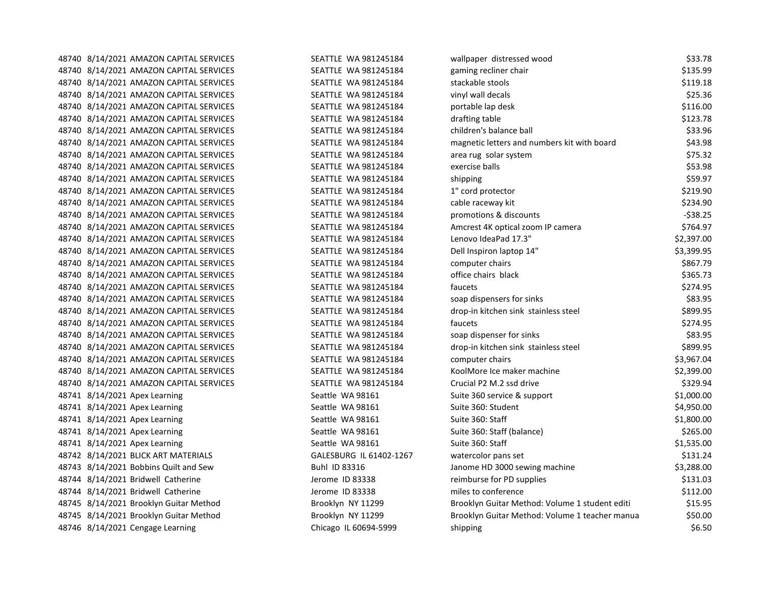| 48740 8/14/2021 AMAZON CAPITAL SERVICES | <b>SEATTLE WA 981245184</b> | wallpaper distressed wood                      | \$33.78    |
|-----------------------------------------|-----------------------------|------------------------------------------------|------------|
| 48740 8/14/2021 AMAZON CAPITAL SERVICES | SEATTLE WA 981245184        | gaming recliner chair                          | \$135.99   |
| 48740 8/14/2021 AMAZON CAPITAL SERVICES | SEATTLE WA 981245184        | stackable stools                               | \$119.18   |
| 48740 8/14/2021 AMAZON CAPITAL SERVICES | SEATTLE WA 981245184        | vinyl wall decals                              | \$25.36    |
| 48740 8/14/2021 AMAZON CAPITAL SERVICES | SEATTLE WA 981245184        | portable lap desk                              | \$116.00   |
| 48740 8/14/2021 AMAZON CAPITAL SERVICES | SEATTLE WA 981245184        | drafting table                                 | \$123.78   |
| 48740 8/14/2021 AMAZON CAPITAL SERVICES | SEATTLE WA 981245184        | children's balance ball                        | \$33.96    |
| 48740 8/14/2021 AMAZON CAPITAL SERVICES | SEATTLE WA 981245184        | magnetic letters and numbers kit with board    | \$43.98    |
| 48740 8/14/2021 AMAZON CAPITAL SERVICES | SEATTLE WA 981245184        | area rug solar system                          | \$75.32    |
| 48740 8/14/2021 AMAZON CAPITAL SERVICES | SEATTLE WA 981245184        | exercise balls                                 | \$53.98    |
| 48740 8/14/2021 AMAZON CAPITAL SERVICES | SEATTLE WA 981245184        | shipping                                       | \$59.97    |
| 48740 8/14/2021 AMAZON CAPITAL SERVICES | SEATTLE WA 981245184        | 1" cord protector                              | \$219.90   |
| 48740 8/14/2021 AMAZON CAPITAL SERVICES | SEATTLE WA 981245184        | cable raceway kit                              | \$234.90   |
| 48740 8/14/2021 AMAZON CAPITAL SERVICES | SEATTLE WA 981245184        | promotions & discounts                         | $-538.25$  |
| 48740 8/14/2021 AMAZON CAPITAL SERVICES | SEATTLE WA 981245184        | Amcrest 4K optical zoom IP camera              | \$764.97   |
| 48740 8/14/2021 AMAZON CAPITAL SERVICES | SEATTLE WA 981245184        | Lenovo IdeaPad 17.3"                           | \$2,397.00 |
| 48740 8/14/2021 AMAZON CAPITAL SERVICES | SEATTLE WA 981245184        | Dell Inspiron laptop 14"                       | \$3,399.95 |
| 48740 8/14/2021 AMAZON CAPITAL SERVICES | SEATTLE WA 981245184        | computer chairs                                | \$867.79   |
| 48740 8/14/2021 AMAZON CAPITAL SERVICES | SEATTLE WA 981245184        | office chairs black                            | \$365.73   |
| 48740 8/14/2021 AMAZON CAPITAL SERVICES | SEATTLE WA 981245184        | faucets                                        | \$274.95   |
| 48740 8/14/2021 AMAZON CAPITAL SERVICES | SEATTLE WA 981245184        | soap dispensers for sinks                      | \$83.95    |
| 48740 8/14/2021 AMAZON CAPITAL SERVICES | SEATTLE WA 981245184        | drop-in kitchen sink stainless steel           | \$899.95   |
| 48740 8/14/2021 AMAZON CAPITAL SERVICES | SEATTLE WA 981245184        | faucets                                        | \$274.95   |
| 48740 8/14/2021 AMAZON CAPITAL SERVICES | SEATTLE WA 981245184        | soap dispenser for sinks                       | \$83.95    |
| 48740 8/14/2021 AMAZON CAPITAL SERVICES | SEATTLE WA 981245184        | drop-in kitchen sink stainless steel           | \$899.95   |
| 48740 8/14/2021 AMAZON CAPITAL SERVICES | SEATTLE WA 981245184        | computer chairs                                | \$3,967.04 |
| 48740 8/14/2021 AMAZON CAPITAL SERVICES | SEATTLE WA 981245184        | KoolMore Ice maker machine                     | \$2,399.00 |
| 48740 8/14/2021 AMAZON CAPITAL SERVICES | SEATTLE WA 981245184        | Crucial P2 M.2 ssd drive                       | \$329.94   |
| 48741 8/14/2021 Apex Learning           | Seattle WA 98161            | Suite 360 service & support                    | \$1,000.00 |
| 48741 8/14/2021 Apex Learning           | Seattle WA 98161            | Suite 360: Student                             | \$4,950.00 |
| 48741 8/14/2021 Apex Learning           | Seattle WA 98161            | Suite 360: Staff                               | \$1,800.00 |
| 48741 8/14/2021 Apex Learning           | Seattle WA 98161            | Suite 360: Staff (balance)                     | \$265.00   |
| 48741 8/14/2021 Apex Learning           | Seattle WA 98161            | Suite 360: Staff                               | \$1,535.00 |
| 48742 8/14/2021 BLICK ART MATERIALS     | GALESBURG IL 61402-1267     | watercolor pans set                            | \$131.24   |
| 48743 8/14/2021 Bobbins Quilt and Sew   | Buhl ID 83316               | Janome HD 3000 sewing machine                  | \$3,288.00 |
| 48744 8/14/2021 Bridwell Catherine      | Jerome ID 83338             | reimburse for PD supplies                      | \$131.03   |
| 48744 8/14/2021 Bridwell Catherine      | Jerome ID 83338             | miles to conference                            | \$112.00   |
| 48745 8/14/2021 Brooklyn Guitar Method  | Brooklyn NY 11299           | Brooklyn Guitar Method: Volume 1 student editi | \$15.95    |
| 48745 8/14/2021 Brooklyn Guitar Method  | Brooklyn NY 11299           | Brooklyn Guitar Method: Volume 1 teacher manua | \$50.00    |
| 48746 8/14/2021 Cengage Learning        | Chicago IL 60694-5999       | shipping                                       | \$6.50     |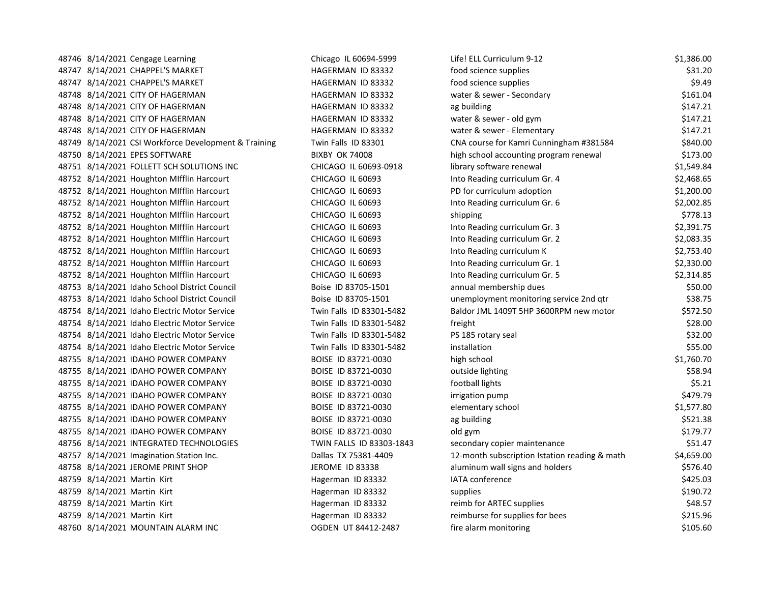|  | 48746 8/14/2021 Cengage Learning                     | Chicago IL 60694-5999    | Life! ELL Curriculum 9-12                     | \$1,386.00 |
|--|------------------------------------------------------|--------------------------|-----------------------------------------------|------------|
|  | 48747 8/14/2021 CHAPPEL'S MARKET                     | HAGERMAN ID 83332        | food science supplies                         | \$31.20    |
|  | 48747 8/14/2021 CHAPPEL'S MARKET                     | HAGERMAN ID 83332        | food science supplies                         | \$9.49     |
|  | 48748 8/14/2021 CITY OF HAGERMAN                     | HAGERMAN ID 83332        | water & sewer - Secondary                     | \$161.04   |
|  | 48748 8/14/2021 CITY OF HAGERMAN                     | HAGERMAN ID 83332        | ag building                                   | \$147.21   |
|  | 48748 8/14/2021 CITY OF HAGERMAN                     | HAGERMAN ID 83332        | water & sewer - old gym                       | \$147.21   |
|  | 48748 8/14/2021 CITY OF HAGERMAN                     | HAGERMAN ID 83332        | water & sewer - Elementary                    | \$147.21   |
|  | 48749 8/14/2021 CSI Workforce Development & Training | Twin Falls ID 83301      | CNA course for Kamri Cunningham #381584       | \$840.00   |
|  | 48750 8/14/2021 EPES SOFTWARE                        | <b>BIXBY OK 74008</b>    | high school accounting program renewal        | \$173.00   |
|  | 48751 8/14/2021 FOLLETT SCH SOLUTIONS INC            | CHICAGO IL 60693-0918    | library software renewal                      | \$1,549.84 |
|  | 48752 8/14/2021 Houghton Mifflin Harcourt            | CHICAGO IL 60693         | Into Reading curriculum Gr. 4                 | \$2,468.65 |
|  | 48752 8/14/2021 Houghton MIfflin Harcourt            | CHICAGO IL 60693         | PD for curriculum adoption                    | \$1,200.00 |
|  | 48752 8/14/2021 Houghton MIfflin Harcourt            | CHICAGO IL 60693         | Into Reading curriculum Gr. 6                 | \$2,002.85 |
|  | 48752 8/14/2021 Houghton MIfflin Harcourt            | CHICAGO IL 60693         | shipping                                      | \$778.13   |
|  | 48752 8/14/2021 Houghton MIfflin Harcourt            | CHICAGO IL 60693         | Into Reading curriculum Gr. 3                 | \$2,391.75 |
|  | 48752 8/14/2021 Houghton MIfflin Harcourt            | CHICAGO IL 60693         | Into Reading curriculum Gr. 2                 | \$2,083.35 |
|  | 48752 8/14/2021 Houghton Mifflin Harcourt            | CHICAGO IL 60693         | Into Reading curriculum K                     | \$2,753.40 |
|  | 48752 8/14/2021 Houghton MIfflin Harcourt            | CHICAGO IL 60693         | Into Reading curriculum Gr. 1                 | \$2,330.00 |
|  | 48752 8/14/2021 Houghton Mifflin Harcourt            | CHICAGO IL 60693         | Into Reading curriculum Gr. 5                 | \$2,314.85 |
|  | 48753 8/14/2021 Idaho School District Council        | Boise ID 83705-1501      | annual membership dues                        | \$50.00    |
|  | 48753 8/14/2021 Idaho School District Council        | Boise ID 83705-1501      | unemployment monitoring service 2nd qtr       | \$38.75    |
|  | 48754 8/14/2021 Idaho Electric Motor Service         | Twin Falls ID 83301-5482 | Baldor JML 1409T 5HP 3600RPM new motor        | \$572.50   |
|  | 48754 8/14/2021 Idaho Electric Motor Service         | Twin Falls ID 83301-5482 | freight                                       | \$28.00    |
|  | 48754 8/14/2021 Idaho Electric Motor Service         | Twin Falls ID 83301-5482 | PS 185 rotary seal                            | \$32.00    |
|  | 48754 8/14/2021 Idaho Electric Motor Service         | Twin Falls ID 83301-5482 | installation                                  | \$55.00    |
|  | 48755 8/14/2021 IDAHO POWER COMPANY                  | BOISE ID 83721-0030      | high school                                   | \$1,760.70 |
|  | 48755 8/14/2021 IDAHO POWER COMPANY                  | BOISE ID 83721-0030      | outside lighting                              | \$58.94    |
|  | 48755 8/14/2021 IDAHO POWER COMPANY                  | BOISE ID 83721-0030      | football lights                               | \$5.21     |
|  | 48755 8/14/2021 IDAHO POWER COMPANY                  | BOISE ID 83721-0030      | irrigation pump                               | \$479.79   |
|  | 48755 8/14/2021 IDAHO POWER COMPANY                  | BOISE ID 83721-0030      | elementary school                             | \$1,577.80 |
|  | 48755 8/14/2021 IDAHO POWER COMPANY                  | BOISE ID 83721-0030      | ag building                                   | \$521.38   |
|  | 48755 8/14/2021 IDAHO POWER COMPANY                  | BOISE ID 83721-0030      | old gym                                       | \$179.77   |
|  | 48756 8/14/2021 INTEGRATED TECHNOLOGIES              | TWIN FALLS ID 83303-1843 | secondary copier maintenance                  | \$51.47    |
|  | 48757 8/14/2021 Imagination Station Inc.             | Dallas TX 75381-4409     | 12-month subscription Istation reading & math | \$4,659.00 |
|  | 48758 8/14/2021 JEROME PRINT SHOP                    | JEROME ID 83338          | aluminum wall signs and holders               | \$576.40   |
|  | 48759 8/14/2021 Martin Kirt                          | Hagerman ID 83332        | IATA conference                               | \$425.03   |
|  | 48759 8/14/2021 Martin Kirt                          | Hagerman ID 83332        | supplies                                      | \$190.72   |
|  | 48759 8/14/2021 Martin Kirt                          | Hagerman ID 83332        | reimb for ARTEC supplies                      | \$48.57    |
|  | 48759 8/14/2021 Martin Kirt                          | Hagerman ID 83332        | reimburse for supplies for bees               | \$215.96   |
|  | 48760 8/14/2021 MOUNTAIN ALARM INC                   | OGDEN UT 84412-2487      | fire alarm monitoring                         | \$105.60   |
|  |                                                      |                          |                                               |            |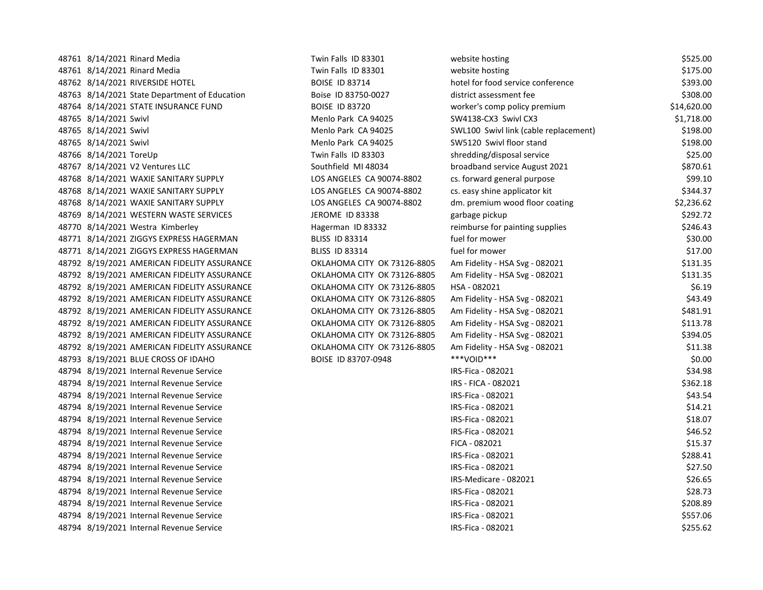| 48761 8/14/2021 Rinard Media                  | Twin Falls ID 83301         | website hosting                       | \$525.00    |
|-----------------------------------------------|-----------------------------|---------------------------------------|-------------|
| 48761 8/14/2021 Rinard Media                  | Twin Falls ID 83301         | website hosting                       | \$175.00    |
| 48762 8/14/2021 RIVERSIDE HOTEL               | <b>BOISE ID 83714</b>       | hotel for food service conference     | \$393.00    |
| 48763 8/14/2021 State Department of Education | Boise ID 83750-0027         | district assessment fee               | \$308.00    |
| 48764 8/14/2021 STATE INSURANCE FUND          | <b>BOISE ID 83720</b>       | worker's comp policy premium          | \$14,620.00 |
| 48765 8/14/2021 Swivl                         | Menlo Park CA 94025         | SW4138-CX3 Swivl CX3                  | \$1,718.00  |
| 48765 8/14/2021 Swivl                         | Menlo Park CA 94025         | SWL100 Swivl link (cable replacement) | \$198.00    |
| 48765 8/14/2021 Swivl                         | Menlo Park CA 94025         | SW5120 Swivl floor stand              | \$198.00    |
| 48766 8/14/2021 ToreUp                        | Twin Falls ID 83303         | shredding/disposal service            | \$25.00     |
| 48767 8/14/2021 V2 Ventures LLC               | Southfield MI 48034         | broadband service August 2021         | \$870.61    |
| 48768 8/14/2021 WAXIE SANITARY SUPPLY         | LOS ANGELES CA 90074-8802   | cs. forward general purpose           | \$99.10     |
| 48768 8/14/2021 WAXIE SANITARY SUPPLY         | LOS ANGELES CA 90074-8802   | cs. easy shine applicator kit         | \$344.37    |
| 48768 8/14/2021 WAXIE SANITARY SUPPLY         | LOS ANGELES CA 90074-8802   | dm. premium wood floor coating        | \$2,236.62  |
| 48769 8/14/2021 WESTERN WASTE SERVICES        | JEROME ID 83338             | garbage pickup                        | \$292.72    |
| 48770 8/14/2021 Westra Kimberley              | Hagerman ID 83332           | reimburse for painting supplies       | \$246.43    |
| 48771 8/14/2021 ZIGGYS EXPRESS HAGERMAN       | <b>BLISS ID 83314</b>       | fuel for mower                        | \$30.00     |
| 48771 8/14/2021 ZIGGYS EXPRESS HAGERMAN       | <b>BLISS ID 83314</b>       | fuel for mower                        | \$17.00     |
| 48792 8/19/2021 AMERICAN FIDELITY ASSURANCE   | OKLAHOMA CITY OK 73126-8805 | Am Fidelity - HSA Svg - 082021        | \$131.35    |
| 48792 8/19/2021 AMERICAN FIDELITY ASSURANCE   | OKLAHOMA CITY OK 73126-8805 | Am Fidelity - HSA Svg - 082021        | \$131.35    |
| 48792 8/19/2021 AMERICAN FIDELITY ASSURANCE   | OKLAHOMA CITY OK 73126-8805 | HSA - 082021                          | \$6.19      |
| 48792 8/19/2021 AMERICAN FIDELITY ASSURANCE   | OKLAHOMA CITY OK 73126-8805 | Am Fidelity - HSA Svg - 082021        | \$43.49     |
| 48792 8/19/2021 AMERICAN FIDELITY ASSURANCE   | OKLAHOMA CITY OK 73126-8805 | Am Fidelity - HSA Svg - 082021        | \$481.91    |
| 48792 8/19/2021 AMERICAN FIDELITY ASSURANCE   | OKLAHOMA CITY OK 73126-8805 | Am Fidelity - HSA Svg - 082021        | \$113.78    |
| 48792 8/19/2021 AMERICAN FIDELITY ASSURANCE   | OKLAHOMA CITY OK 73126-8805 | Am Fidelity - HSA Svg - 082021        | \$394.05    |
| 48792 8/19/2021 AMERICAN FIDELITY ASSURANCE   | OKLAHOMA CITY OK 73126-8805 | Am Fidelity - HSA Svg - 082021        | \$11.38     |
| 48793 8/19/2021 BLUE CROSS OF IDAHO           | BOISE ID 83707-0948         | ***VOID***                            | \$0.00      |
| 48794 8/19/2021 Internal Revenue Service      |                             | IRS-Fica - 082021                     | \$34.98     |
| 48794 8/19/2021 Internal Revenue Service      |                             | IRS - FICA - 082021                   | \$362.18    |
| 48794 8/19/2021 Internal Revenue Service      |                             | IRS-Fica - 082021                     | \$43.54     |
| 48794 8/19/2021 Internal Revenue Service      |                             | IRS-Fica - 082021                     | \$14.21     |
| 48794 8/19/2021 Internal Revenue Service      |                             | IRS-Fica - 082021                     | \$18.07     |
| 48794 8/19/2021 Internal Revenue Service      |                             | IRS-Fica - 082021                     | \$46.52     |
| 48794 8/19/2021 Internal Revenue Service      |                             | FICA - 082021                         | \$15.37     |
| 48794 8/19/2021 Internal Revenue Service      |                             | IRS-Fica - 082021                     | \$288.41    |
| 48794 8/19/2021 Internal Revenue Service      |                             | IRS-Fica - 082021                     | \$27.50     |
| 48794 8/19/2021 Internal Revenue Service      |                             | IRS-Medicare - 082021                 | \$26.65     |
| 48794 8/19/2021 Internal Revenue Service      |                             | IRS-Fica - 082021                     | \$28.73     |
| 48794 8/19/2021 Internal Revenue Service      |                             | IRS-Fica - 082021                     | \$208.89    |
| 48794 8/19/2021 Internal Revenue Service      |                             | IRS-Fica - 082021                     | \$557.06    |
| 48794 8/19/2021 Internal Revenue Service      |                             | IRS-Fica - 082021                     | \$255.62    |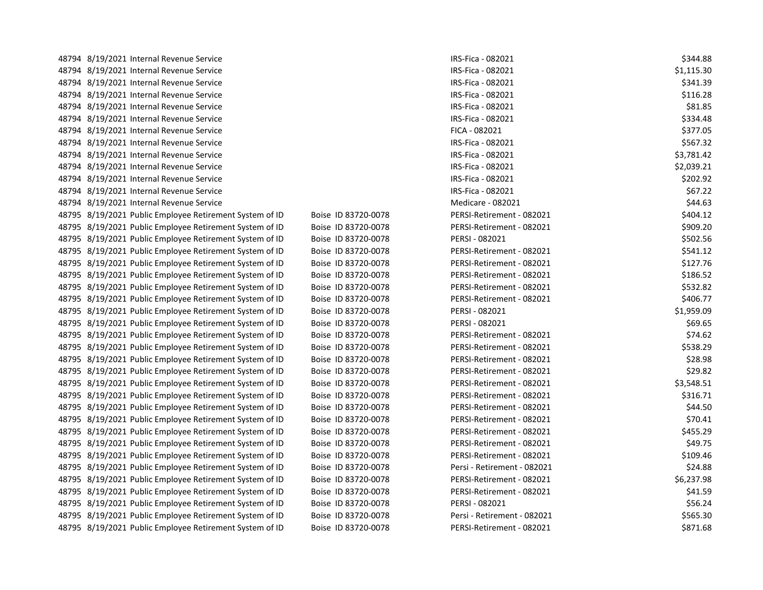| 48794 8/19/2021 Internal Revenue Service                |                     | IRS-Fica - 082021           | \$344.88   |
|---------------------------------------------------------|---------------------|-----------------------------|------------|
| 48794 8/19/2021 Internal Revenue Service                |                     | IRS-Fica - 082021           | \$1,115.30 |
| 48794 8/19/2021 Internal Revenue Service                |                     | IRS-Fica - 082021           | \$341.39   |
| 48794 8/19/2021 Internal Revenue Service                |                     | IRS-Fica - 082021           | \$116.28   |
| 48794 8/19/2021 Internal Revenue Service                |                     | IRS-Fica - 082021           | \$81.85    |
| 48794 8/19/2021 Internal Revenue Service                |                     | IRS-Fica - 082021           | \$334.48   |
| 48794 8/19/2021 Internal Revenue Service                |                     | FICA - 082021               | \$377.05   |
| 48794 8/19/2021 Internal Revenue Service                |                     | IRS-Fica - 082021           | \$567.32   |
| 48794 8/19/2021 Internal Revenue Service                |                     | IRS-Fica - 082021           | \$3,781.42 |
| 48794 8/19/2021 Internal Revenue Service                |                     | IRS-Fica - 082021           | \$2,039.21 |
| 48794 8/19/2021 Internal Revenue Service                |                     | IRS-Fica - 082021           | \$202.92   |
| 48794 8/19/2021 Internal Revenue Service                |                     | IRS-Fica - 082021           | \$67.22    |
| 48794 8/19/2021 Internal Revenue Service                |                     | Medicare - 082021           | \$44.63    |
| 48795 8/19/2021 Public Employee Retirement System of ID | Boise ID 83720-0078 | PERSI-Retirement - 082021   | \$404.12   |
| 48795 8/19/2021 Public Employee Retirement System of ID | Boise ID 83720-0078 | PERSI-Retirement - 082021   | \$909.20   |
| 48795 8/19/2021 Public Employee Retirement System of ID | Boise ID 83720-0078 | PERSI - 082021              | \$502.56   |
| 48795 8/19/2021 Public Employee Retirement System of ID | Boise ID 83720-0078 | PERSI-Retirement - 082021   | \$541.12   |
| 48795 8/19/2021 Public Employee Retirement System of ID | Boise ID 83720-0078 | PERSI-Retirement - 082021   | \$127.76   |
| 48795 8/19/2021 Public Employee Retirement System of ID | Boise ID 83720-0078 | PERSI-Retirement - 082021   | \$186.52   |
| 48795 8/19/2021 Public Employee Retirement System of ID | Boise ID 83720-0078 | PERSI-Retirement - 082021   | \$532.82   |
| 48795 8/19/2021 Public Employee Retirement System of ID | Boise ID 83720-0078 | PERSI-Retirement - 082021   | \$406.77   |
| 48795 8/19/2021 Public Employee Retirement System of ID | Boise ID 83720-0078 | PERSI - 082021              | \$1,959.09 |
| 48795 8/19/2021 Public Employee Retirement System of ID | Boise ID 83720-0078 | PERSI - 082021              | \$69.65    |
| 48795 8/19/2021 Public Employee Retirement System of ID | Boise ID 83720-0078 | PERSI-Retirement - 082021   | \$74.62    |
| 48795 8/19/2021 Public Employee Retirement System of ID | Boise ID 83720-0078 | PERSI-Retirement - 082021   | \$538.29   |
| 48795 8/19/2021 Public Employee Retirement System of ID | Boise ID 83720-0078 | PERSI-Retirement - 082021   | \$28.98    |
| 48795 8/19/2021 Public Employee Retirement System of ID | Boise ID 83720-0078 | PERSI-Retirement - 082021   | \$29.82    |
| 48795 8/19/2021 Public Employee Retirement System of ID | Boise ID 83720-0078 | PERSI-Retirement - 082021   | \$3,548.51 |
| 48795 8/19/2021 Public Employee Retirement System of ID | Boise ID 83720-0078 | PERSI-Retirement - 082021   | \$316.71   |
| 48795 8/19/2021 Public Employee Retirement System of ID | Boise ID 83720-0078 | PERSI-Retirement - 082021   | \$44.50    |
| 48795 8/19/2021 Public Employee Retirement System of ID | Boise ID 83720-0078 | PERSI-Retirement - 082021   | \$70.41    |
| 48795 8/19/2021 Public Employee Retirement System of ID | Boise ID 83720-0078 | PERSI-Retirement - 082021   | \$455.29   |
| 48795 8/19/2021 Public Employee Retirement System of ID | Boise ID 83720-0078 | PERSI-Retirement - 082021   | \$49.75    |
| 48795 8/19/2021 Public Employee Retirement System of ID | Boise ID 83720-0078 | PERSI-Retirement - 082021   | \$109.46   |
| 48795 8/19/2021 Public Employee Retirement System of ID | Boise ID 83720-0078 | Persi - Retirement - 082021 | \$24.88    |
| 48795 8/19/2021 Public Employee Retirement System of ID | Boise ID 83720-0078 | PERSI-Retirement - 082021   | \$6,237.98 |
| 48795 8/19/2021 Public Employee Retirement System of ID | Boise ID 83720-0078 | PERSI-Retirement - 082021   | \$41.59    |
| 48795 8/19/2021 Public Employee Retirement System of ID | Boise ID 83720-0078 | PERSI - 082021              | \$56.24    |
| 48795 8/19/2021 Public Employee Retirement System of ID | Boise ID 83720-0078 | Persi - Retirement - 082021 | \$565.30   |
| 48795 8/19/2021 Public Employee Retirement System of ID | Boise ID 83720-0078 | PERSI-Retirement - 082021   | \$871.68   |
|                                                         |                     |                             |            |